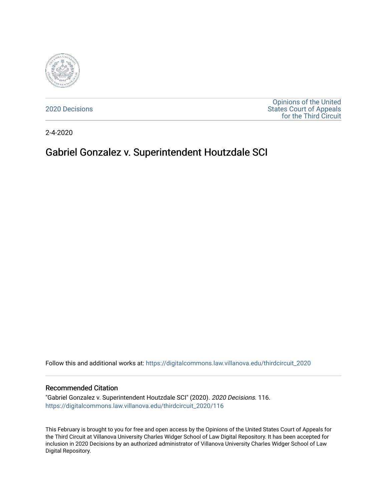

[2020 Decisions](https://digitalcommons.law.villanova.edu/thirdcircuit_2020)

[Opinions of the United](https://digitalcommons.law.villanova.edu/thirdcircuit)  [States Court of Appeals](https://digitalcommons.law.villanova.edu/thirdcircuit)  [for the Third Circuit](https://digitalcommons.law.villanova.edu/thirdcircuit) 

2-4-2020

# Gabriel Gonzalez v. Superintendent Houtzdale SCI

Follow this and additional works at: [https://digitalcommons.law.villanova.edu/thirdcircuit\\_2020](https://digitalcommons.law.villanova.edu/thirdcircuit_2020?utm_source=digitalcommons.law.villanova.edu%2Fthirdcircuit_2020%2F116&utm_medium=PDF&utm_campaign=PDFCoverPages) 

#### Recommended Citation

"Gabriel Gonzalez v. Superintendent Houtzdale SCI" (2020). 2020 Decisions. 116. [https://digitalcommons.law.villanova.edu/thirdcircuit\\_2020/116](https://digitalcommons.law.villanova.edu/thirdcircuit_2020/116?utm_source=digitalcommons.law.villanova.edu%2Fthirdcircuit_2020%2F116&utm_medium=PDF&utm_campaign=PDFCoverPages)

This February is brought to you for free and open access by the Opinions of the United States Court of Appeals for the Third Circuit at Villanova University Charles Widger School of Law Digital Repository. It has been accepted for inclusion in 2020 Decisions by an authorized administrator of Villanova University Charles Widger School of Law Digital Repository.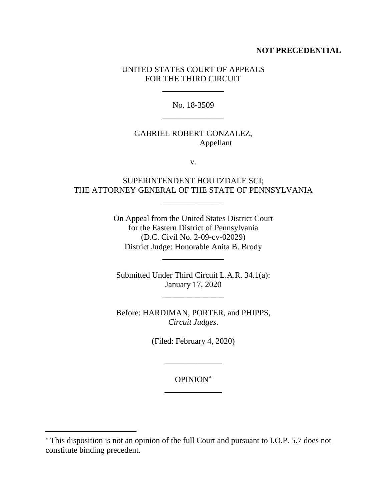### **NOT PRECEDENTIAL**

### UNITED STATES COURT OF APPEALS FOR THE THIRD CIRCUIT

\_\_\_\_\_\_\_\_\_\_\_\_\_\_\_

No. 18-3509 \_\_\_\_\_\_\_\_\_\_\_\_\_\_\_

## GABRIEL ROBERT GONZALEZ, Appellant

v.

### SUPERINTENDENT HOUTZDALE SCI; THE ATTORNEY GENERAL OF THE STATE OF PENNSYLVANIA

 $\overline{\phantom{a}}$  , where the contract of  $\overline{\phantom{a}}$ 

On Appeal from the United States District Court for the Eastern District of Pennsylvania (D.C. Civil No. 2-09-cv-02029) District Judge: Honorable Anita B. Brody

Submitted Under Third Circuit L.A.R. 34.1(a): January 17, 2020

\_\_\_\_\_\_\_\_\_\_\_\_\_\_\_

\_\_\_\_\_\_\_\_\_\_\_\_\_\_\_

Before: HARDIMAN, PORTER, and PHIPPS, *Circuit Judges*.

(Filed: February 4, 2020)

OPINION<sup>∗</sup> \_\_\_\_\_\_\_\_\_\_\_\_\_\_

\_\_\_\_\_\_\_\_\_\_\_\_\_\_

 $\overline{a}$ 

<sup>∗</sup> This disposition is not an opinion of the full Court and pursuant to I.O.P. 5.7 does not constitute binding precedent.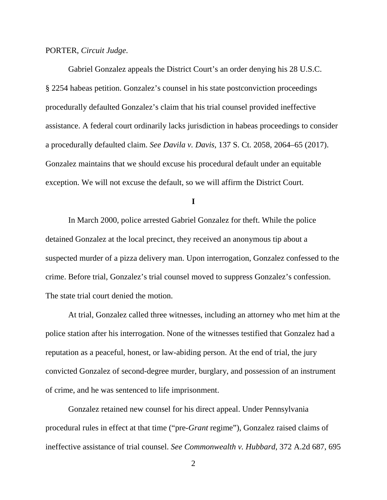#### PORTER, *Circuit Judge*.

Gabriel Gonzalez appeals the District Court's an order denying his 28 U.S.C. § 2254 habeas petition. Gonzalez's counsel in his state postconviction proceedings procedurally defaulted Gonzalez's claim that his trial counsel provided ineffective assistance. A federal court ordinarily lacks jurisdiction in habeas proceedings to consider a procedurally defaulted claim. *See Davila v. Davis*, 137 S. Ct. 2058, 2064–65 (2017). Gonzalez maintains that we should excuse his procedural default under an equitable exception. We will not excuse the default, so we will affirm the District Court.

#### **I**

In March 2000, police arrested Gabriel Gonzalez for theft. While the police detained Gonzalez at the local precinct, they received an anonymous tip about a suspected murder of a pizza delivery man. Upon interrogation, Gonzalez confessed to the crime. Before trial, Gonzalez's trial counsel moved to suppress Gonzalez's confession. The state trial court denied the motion.

At trial, Gonzalez called three witnesses, including an attorney who met him at the police station after his interrogation. None of the witnesses testified that Gonzalez had a reputation as a peaceful, honest, or law-abiding person. At the end of trial, the jury convicted Gonzalez of second-degree murder, burglary, and possession of an instrument of crime, and he was sentenced to life imprisonment.

Gonzalez retained new counsel for his direct appeal. Under Pennsylvania procedural rules in effect at that time ("pre-*Grant* regime"), Gonzalez raised claims of ineffective assistance of trial counsel. *See Commonwealth v. Hubbard*, 372 A.2d 687, 695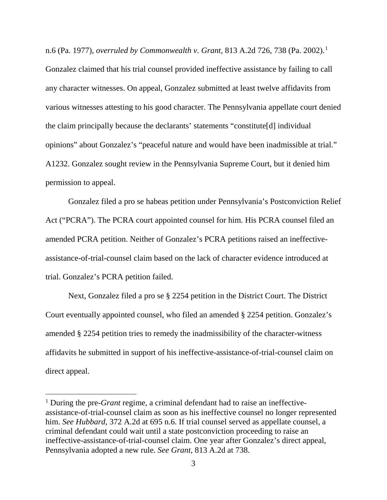n.6 (Pa. 1977), *overruled by Commonwealth v. Grant*, 813 A.2d 726, 738 (Pa. 2002). 1

Gonzalez claimed that his trial counsel provided ineffective assistance by failing to call any character witnesses. On appeal, Gonzalez submitted at least twelve affidavits from various witnesses attesting to his good character. The Pennsylvania appellate court denied the claim principally because the declarants' statements "constitute[d] individual opinions" about Gonzalez's "peaceful nature and would have been inadmissible at trial." A1232. Gonzalez sought review in the Pennsylvania Supreme Court, but it denied him permission to appeal.

Gonzalez filed a pro se habeas petition under Pennsylvania's Postconviction Relief Act ("PCRA"). The PCRA court appointed counsel for him. His PCRA counsel filed an amended PCRA petition. Neither of Gonzalez's PCRA petitions raised an ineffectiveassistance-of-trial-counsel claim based on the lack of character evidence introduced at trial. Gonzalez's PCRA petition failed.

Next, Gonzalez filed a pro se § 2254 petition in the District Court. The District Court eventually appointed counsel, who filed an amended § 2254 petition. Gonzalez's amended § 2254 petition tries to remedy the inadmissibility of the character-witness affidavits he submitted in support of his ineffective-assistance-of-trial-counsel claim on direct appeal.

 <sup>1</sup> During the pre-*Grant* regime, a criminal defendant had to raise an ineffectiveassistance-of-trial-counsel claim as soon as his ineffective counsel no longer represented him. *See Hubbard*, 372 A.2d at 695 n.6. If trial counsel served as appellate counsel, a criminal defendant could wait until a state postconviction proceeding to raise an ineffective-assistance-of-trial-counsel claim. One year after Gonzalez's direct appeal, Pennsylvania adopted a new rule. *See Grant*, 813 A.2d at 738.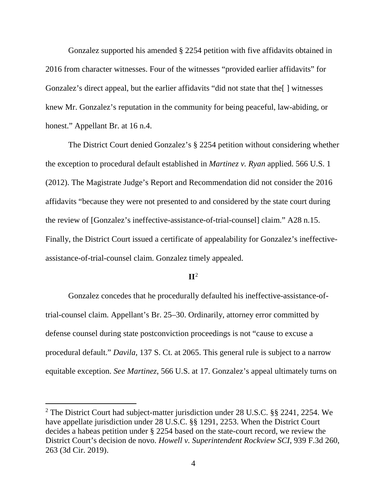Gonzalez supported his amended § 2254 petition with five affidavits obtained in 2016 from character witnesses. Four of the witnesses "provided earlier affidavits" for Gonzalez's direct appeal, but the earlier affidavits "did not state that the[ ] witnesses knew Mr. Gonzalez's reputation in the community for being peaceful, law-abiding, or honest." Appellant Br. at 16 n.4.

The District Court denied Gonzalez's § 2254 petition without considering whether the exception to procedural default established in *Martinez v. Ryan* applied. 566 U.S. 1 (2012). The Magistrate Judge's Report and Recommendation did not consider the 2016 affidavits "because they were not presented to and considered by the state court during the review of [Gonzalez's ineffective-assistance-of-trial-counsel] claim." A28 n.15. Finally, the District Court issued a certificate of appealability for Gonzalez's ineffectiveassistance-of-trial-counsel claim. Gonzalez timely appealed.

# **II**<sup>2</sup>

Gonzalez concedes that he procedurally defaulted his ineffective-assistance-oftrial-counsel claim. Appellant's Br. 25–30. Ordinarily, attorney error committed by defense counsel during state postconviction proceedings is not "cause to excuse a procedural default." *Davila*, 137 S. Ct. at 2065. This general rule is subject to a narrow equitable exception. *See Martinez*, 566 U.S. at 17. Gonzalez's appeal ultimately turns on

<sup>&</sup>lt;sup>2</sup> The District Court had subject-matter jurisdiction under 28 U.S.C. §§ 2241, 2254. We have appellate jurisdiction under 28 U.S.C. §§ 1291, 2253. When the District Court decides a habeas petition under § 2254 based on the state-court record, we review the District Court's decision de novo. *Howell v. Superintendent Rockview SCI*, 939 F.3d 260, 263 (3d Cir. 2019).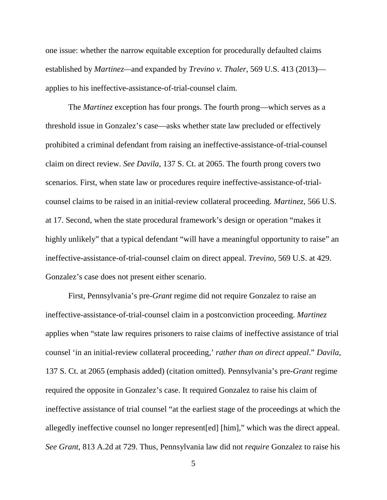one issue: whether the narrow equitable exception for procedurally defaulted claims established by *Martinez—*and expanded by *Trevino v. Thaler*, 569 U.S. 413 (2013) applies to his ineffective-assistance-of-trial-counsel claim.

The *Martinez* exception has four prongs. The fourth prong—which serves as a threshold issue in Gonzalez's case—asks whether state law precluded or effectively prohibited a criminal defendant from raising an ineffective-assistance-of-trial-counsel claim on direct review. *See Davila*, 137 S. Ct. at 2065. The fourth prong covers two scenarios. First, when state law or procedures require ineffective-assistance-of-trialcounsel claims to be raised in an initial-review collateral proceeding. *Martinez*, 566 U.S. at 17. Second, when the state procedural framework's design or operation "makes it highly unlikely" that a typical defendant "will have a meaningful opportunity to raise" an ineffective-assistance-of-trial-counsel claim on direct appeal. *Trevino*, 569 U.S. at 429. Gonzalez's case does not present either scenario.

First, Pennsylvania's pre-*Grant* regime did not require Gonzalez to raise an ineffective-assistance-of-trial-counsel claim in a postconviction proceeding. *Martinez* applies when "state law requires prisoners to raise claims of ineffective assistance of trial counsel 'in an initial-review collateral proceeding,' *rather than on direct appeal*." *Davila*, 137 S. Ct. at 2065 (emphasis added) (citation omitted). Pennsylvania's pre-*Grant* regime required the opposite in Gonzalez's case. It required Gonzalez to raise his claim of ineffective assistance of trial counsel "at the earliest stage of the proceedings at which the allegedly ineffective counsel no longer represent[ed] [him]," which was the direct appeal. *See Grant*, 813 A.2d at 729. Thus, Pennsylvania law did not *require* Gonzalez to raise his

5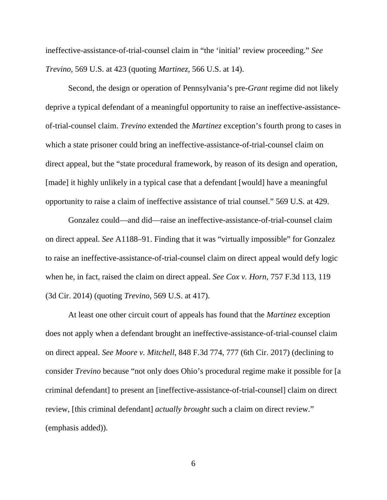ineffective-assistance-of-trial-counsel claim in "the 'initial' review proceeding." *See Trevino*, 569 U.S. at 423 (quoting *Martinez*, 566 U.S. at 14).

Second, the design or operation of Pennsylvania's pre-*Grant* regime did not likely deprive a typical defendant of a meaningful opportunity to raise an ineffective-assistanceof-trial-counsel claim. *Trevino* extended the *Martinez* exception's fourth prong to cases in which a state prisoner could bring an ineffective-assistance-of-trial-counsel claim on direct appeal, but the "state procedural framework, by reason of its design and operation, [made] it highly unlikely in a typical case that a defendant [would] have a meaningful opportunity to raise a claim of ineffective assistance of trial counsel." 569 U.S. at 429.

Gonzalez could—and did—raise an ineffective-assistance-of-trial-counsel claim on direct appeal. *See* A1188–91. Finding that it was "virtually impossible" for Gonzalez to raise an ineffective-assistance-of-trial-counsel claim on direct appeal would defy logic when he, in fact, raised the claim on direct appeal. *See Cox v. Horn*, 757 F.3d 113, 119 (3d Cir. 2014) (quoting *Trevino*, 569 U.S. at 417).

At least one other circuit court of appeals has found that the *Martinez* exception does not apply when a defendant brought an ineffective-assistance-of-trial-counsel claim on direct appeal. *See Moore v. Mitchell*, 848 F.3d 774, 777 (6th Cir. 2017) (declining to consider *Trevino* because "not only does Ohio's procedural regime make it possible for [a criminal defendant] to present an [ineffective-assistance-of-trial-counsel] claim on direct review, [this criminal defendant] *actually brought* such a claim on direct review." (emphasis added)).

6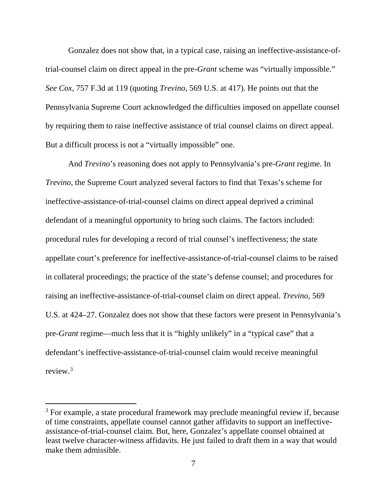Gonzalez does not show that, in a typical case, raising an ineffective-assistance-oftrial-counsel claim on direct appeal in the pre-*Grant* scheme was "virtually impossible." *See Cox*, 757 F.3d at 119 (quoting *Trevino*, 569 U.S. at 417). He points out that the Pennsylvania Supreme Court acknowledged the difficulties imposed on appellate counsel by requiring them to raise ineffective assistance of trial counsel claims on direct appeal. But a difficult process is not a "virtually impossible" one.

And *Trevino*'s reasoning does not apply to Pennsylvania's pre-*Grant* regime. In *Trevino*, the Supreme Court analyzed several factors to find that Texas's scheme for ineffective-assistance-of-trial-counsel claims on direct appeal deprived a criminal defendant of a meaningful opportunity to bring such claims. The factors included: procedural rules for developing a record of trial counsel's ineffectiveness; the state appellate court's preference for ineffective-assistance-of-trial-counsel claims to be raised in collateral proceedings; the practice of the state's defense counsel; and procedures for raising an ineffective-assistance-of-trial-counsel claim on direct appeal. *Trevino*, 569 U.S. at 424–27. Gonzalez does not show that these factors were present in Pennsylvania's pre-*Grant* regime—much less that it is "highly unlikely" in a "typical case" that a defendant's ineffective-assistance-of-trial-counsel claim would receive meaningful review<sup>3</sup>

<sup>&</sup>lt;sup>3</sup> For example, a state procedural framework may preclude meaningful review if, because of time constraints, appellate counsel cannot gather affidavits to support an ineffectiveassistance-of-trial-counsel claim. But, here, Gonzalez's appellate counsel obtained at least twelve character-witness affidavits. He just failed to draft them in a way that would make them admissible.